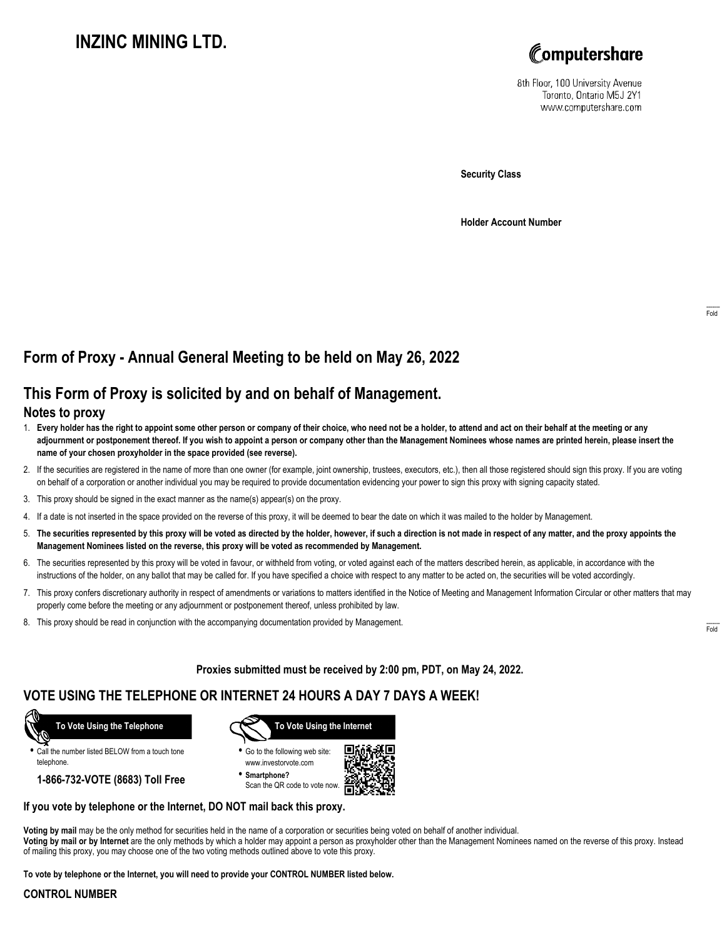# **INZINC MINING LTD.**



8th Floor, 100 University Avenue Toronto, Ontario M5J 2Y1 www.computershare.com

**Security Class**

**Holder Account Number**

# **Form of Proxy - Annual General Meeting to be held on May 26, 2022**

## **This Form of Proxy is solicited by and on behalf of Management.**

### **Notes to proxy**

- 1. **Every holder has the right to appoint some other person or company of their choice, who need not be a holder, to attend and act on their behalf at the meeting or any adjournment or postponement thereof. If you wish to appoint a person or company other than the Management Nominees whose names are printed herein, please insert the name of your chosen proxyholder in the space provided (see reverse).**
- 2. If the securities are registered in the name of more than one owner (for example, joint ownership, trustees, executors, etc.), then all those registered should sign this proxy. If you are voting on behalf of a corporation or another individual you may be required to provide documentation evidencing your power to sign this proxy with signing capacity stated.
- 3. This proxy should be signed in the exact manner as the name(s) appear(s) on the proxy.
- 4. If a date is not inserted in the space provided on the reverse of this proxy, it will be deemed to bear the date on which it was mailed to the holder by Management.
- 5. **The securities represented by this proxy will be voted as directed by the holder, however, if such a direction is not made in respect of any matter, and the proxy appoints the Management Nominees listed on the reverse, this proxy will be voted as recommended by Management.**
- 6. The securities represented by this proxy will be voted in favour, or withheld from voting, or voted against each of the matters described herein, as applicable, in accordance with the instructions of the holder, on any ballot that may be called for. If you have specified a choice with respect to any matter to be acted on, the securities will be voted accordingly.
- 7. This proxy confers discretionary authority in respect of amendments or variations to matters identified in the Notice of Meeting and Management Information Circular or other matters that may properly come before the meeting or any adjournment or postponement thereof, unless prohibited by law.
- 8. This proxy should be read in conjunction with the accompanying documentation provided by Management.

**Proxies submitted must be received by 2:00 pm, PDT, on May 24, 2022.**

### **VOTE USING THE TELEPHONE OR INTERNET 24 HOURS A DAY 7 DAYS A WEEK!**



**•** Call the number listed BELOW from a touch tone telephone.

**1-866-732-VOTE (8683) Toll Free**



**•** Go to the following web site: www.investorvote.com

**• Smartphone?** Scan the QR code to vote now.



### **If you vote by telephone or the Internet, DO NOT mail back this proxy.**

**Voting by mail** may be the only method for securities held in the name of a corporation or securities being voted on behalf of another individual. **Voting by mail or by Internet** are the only methods by which a holder may appoint a person as proxyholder other than the Management Nominees named on the reverse of this proxy. Instead of mailing this proxy, you may choose one of the two voting methods outlined above to vote this proxy.

**To vote by telephone or the Internet, you will need to provide your CONTROL NUMBER listed below.**

#### **CONTROL NUMBER**